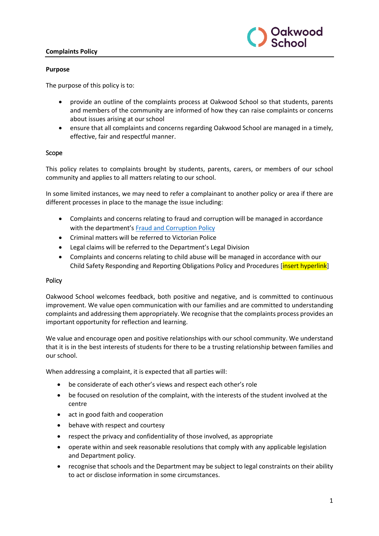### **Complaints Policy**



#### **Purpose**

The purpose of this policy is to:

- provide an outline of the complaints process at Oakwood School so that students, parents and members of the community are informed of how they can raise complaints or concerns about issues arising at our school
- ensure that all complaints and concerns regarding Oakwood School are managed in a timely, effective, fair and respectful manner.

#### Scope

This policy relates to complaints brought by students, parents, carers, or members of our school community and applies to all matters relating to our school.

In some limited instances, we may need to refer a complainant to another policy or area if there are different processes in place to the manage the issue including:

- Complaints and concerns relating to fraud and corruption will be managed in accordance with the department's [Fraud and Corruption Policy](https://www2.education.vic.gov.au/pal/report-fraud-or-corruption/overview)
- Criminal matters will be referred to Victorian Police
- Legal claims will be referred to the Department's Legal Division
- Complaints and concerns relating to child abuse will be managed in accordance with our Child Safety Responding and Reporting Obligations Policy and Procedures *[insert hyperlink]*

#### Policy

Oakwood School welcomes feedback, both positive and negative, and is committed to continuous improvement. We value open communication with our families and are committed to understanding complaints and addressing them appropriately. We recognise that the complaints process provides an important opportunity for reflection and learning.

We value and encourage open and positive relationships with our school community. We understand that it is in the best interests of students for there to be a trusting relationship between families and our school.

When addressing a complaint, it is expected that all parties will:

- be considerate of each other's views and respect each other's role
- be focused on resolution of the complaint, with the interests of the student involved at the centre
- act in good faith and cooperation
- behave with respect and courtesy
- respect the privacy and confidentiality of those involved, as appropriate
- operate within and seek reasonable resolutions that comply with any applicable legislation and Department policy.
- recognise that schools and the Department may be subject to legal constraints on their ability to act or disclose information in some circumstances.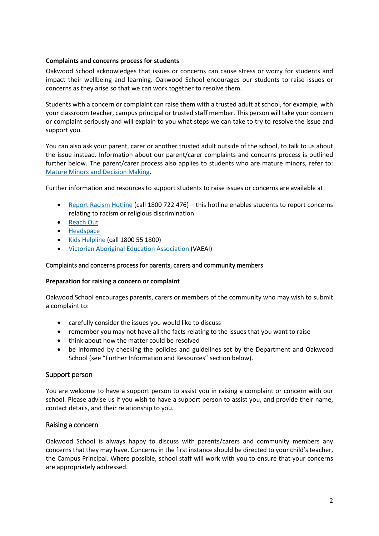#### **Complaints and concerns process for students**

Oakwood School acknowledges that issues or concerns can cause stress or worry for students and impact their wellbeing and learning. Oakwood School encourages our students to raise issues or concerns as they arise so that we can work together to resolve them.

Students with a concern or complaint can raise them with a trusted adult at school, for example, with your classroom teacher, campus principal or trusted staff member. This person will take your concern or complaint seriously and will explain to you what steps we can take to try to resolve the issue and support you.

You can also ask your parent, carer or another trusted adult outside of the school, to talk to us about the issue instead. Information about our parent/carer complaints and concerns process is outlined further below. The parent/carer process also applies to students who are mature minors, refer to: [Mature Minors and Decision Making.](https://www2.education.vic.gov.au/pal/mature-minors-and-decision-making/policy)

Further information and resources to support students to raise issues or concerns are available at:

- [Report Racism Hotline](https://www.vic.gov.au/report-racism-or-religious-discrimination-schools) (call 1800 722 476) this hotline enables students to report concerns relating to racism or religious discrimination
- [Reach Out](https://au.reachout.com/?gclid=CjwKCAiAgbiQBhAHEiwAuQ6BktaB5xneGFK3TnOql5c5eZ7af7dDm9ffLZa7N59FEtbtQzVIk8sGWhoC8N0QAvD_BwE)
- [Headspace](https://headspace.org.au/)
- [Kids Helpline](https://kidshelpline.com.au/?gclid=CjwKCAiAgbiQBhAHEiwAuQ6Bkro6UD2EBcRILznFnRhKjfi5I84jJlUa0fyiiYLQ4mHx5sXTStxH8BoCCEIQAvD_BwE) (call 1800 55 1800)
- [Victorian Aboriginal Education Association](https://www.vaeai.org.au/) (VAEAI)

#### Complaints and concerns process for parents, carers and community members

#### **Preparation for raising a concern or complaint**

Oakwood School encourages parents, carers or members of the community who may wish to submit a complaint to:

- carefully consider the issues you would like to discuss
- remember you may not have all the facts relating to the issues that you want to raise
- think about how the matter could be resolved
- be informed by checking the policies and guidelines set by the Department and Oakwood School (see "Further Information and Resources" section below).

### Support person

You are welcome to have a support person to assist you in raising a complaint or concern with our school. Please advise us if you wish to have a support person to assist you, and provide their name, contact details, and their relationship to you.

### Raising a concern

Oakwood School is always happy to discuss with parents/carers and community members any concerns that they may have. Concerns in the first instance should be directed to your child's teacher, the Campus Principal. Where possible, school staff will work with you to ensure that your concerns are appropriately addressed.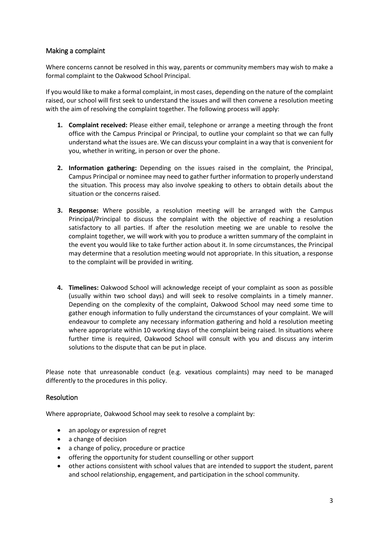### Making a complaint

Where concerns cannot be resolved in this way, parents or community members may wish to make a formal complaint to the Oakwood School Principal.

If you would like to make a formal complaint, in most cases, depending on the nature of the complaint raised, our school will first seek to understand the issues and will then convene a resolution meeting with the aim of resolving the complaint together. The following process will apply:

- **1. Complaint received:** Please either email, telephone or arrange a meeting through the front office with the Campus Principal or Principal, to outline your complaint so that we can fully understand what the issues are. We can discuss your complaint in a way that is convenient for you, whether in writing, in person or over the phone.
- **2. Information gathering:** Depending on the issues raised in the complaint, the Principal, Campus Principal or nominee may need to gather further information to properly understand the situation. This process may also involve speaking to others to obtain details about the situation or the concerns raised.
- **3. Response:** Where possible, a resolution meeting will be arranged with the Campus Principal/Principal to discuss the complaint with the objective of reaching a resolution satisfactory to all parties. If after the resolution meeting we are unable to resolve the complaint together, we will work with you to produce a written summary of the complaint in the event you would like to take further action about it. In some circumstances, the Principal may determine that a resolution meeting would not appropriate. In this situation, a response to the complaint will be provided in writing.
- **4. Timelines:** Oakwood School will acknowledge receipt of your complaint as soon as possible (usually within two school days) and will seek to resolve complaints in a timely manner. Depending on the complexity of the complaint, Oakwood School may need some time to gather enough information to fully understand the circumstances of your complaint. We will endeavour to complete any necessary information gathering and hold a resolution meeting where appropriate within 10 working days of the complaint being raised. In situations where further time is required, Oakwood School will consult with you and discuss any interim solutions to the dispute that can be put in place.

Please note that unreasonable conduct (e.g. vexatious complaints) may need to be managed differently to the procedures in this policy.

### **Resolution**

Where appropriate, Oakwood School may seek to resolve a complaint by:

- an apology or expression of regret
- a change of decision
- a change of policy, procedure or practice
- offering the opportunity for student counselling or other support
- other actions consistent with school values that are intended to support the student, parent and school relationship, engagement, and participation in the school community.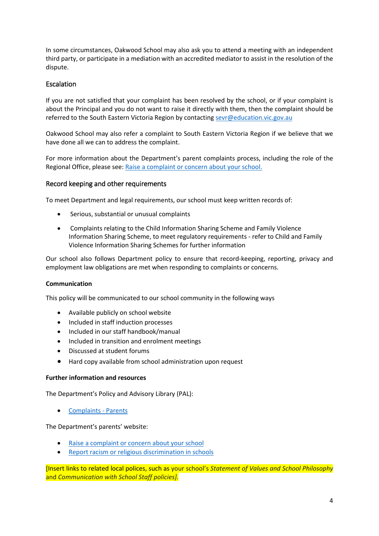In some circumstances, Oakwood School may also ask you to attend a meeting with an independent third party, or participate in a mediation with an accredited mediator to assist in the resolution of the dispute.

## Escalation

If you are not satisfied that your complaint has been resolved by the school, or if your complaint is about the Principal and you do not want to raise it directly with them, then the complaint should be referred to the South Eastern Victoria Region by contactin[g sevr@education.vic.gov.au](mailto:sevr@education.vic.gov.au)

Oakwood School may also refer a complaint to South Eastern Victoria Region if we believe that we have done all we can to address the complaint.

For more information about the Department's parent complaints process, including the role of the Regional Office, please see: [Raise a complaint or concern about your school.](https://www.vic.gov.au/raise-complaint-or-concern-about-your-school#speaking-to-your-school)

#### Record keeping and other requirements

To meet Department and legal requirements, our school must keep written records of:

- Serious, substantial or unusual complaints
- Complaints relating to the Child Information Sharing Scheme and Family Violence Information Sharing Scheme, to meet regulatory requirements - refer to Child and Family Violence Information Sharing Schemes for further information

Our school also follows Department policy to ensure that record-keeping, reporting, privacy and employment law obligations are met when responding to complaints or concerns.

#### **Communication**

This policy will be communicated to our school community in the following ways

- Available publicly on school website
- Included in staff induction processes
- Included in our staff handbook/manual
- Included in transition and enrolment meetings
- Discussed at student forums
- Hard copy available from school administration upon request

#### **Further information and resources**

The Department's Policy and Advisory Library (PAL):

• [Complaints -](https://www2.education.vic.gov.au/pal/complaints/policy) Parents

The Department's parents' website:

- [Raise a complaint or concern about your school](https://www.vic.gov.au/raise-complaint-or-concern-about-your-school)
- Report racism [or religious discrimination in schools](https://www.vic.gov.au/report-racism-or-religious-discrimination-schools)

[Insert links to related local polices, such as your school's *Statement of Values and School Philosophy* and *Communication with School Staff policies].*